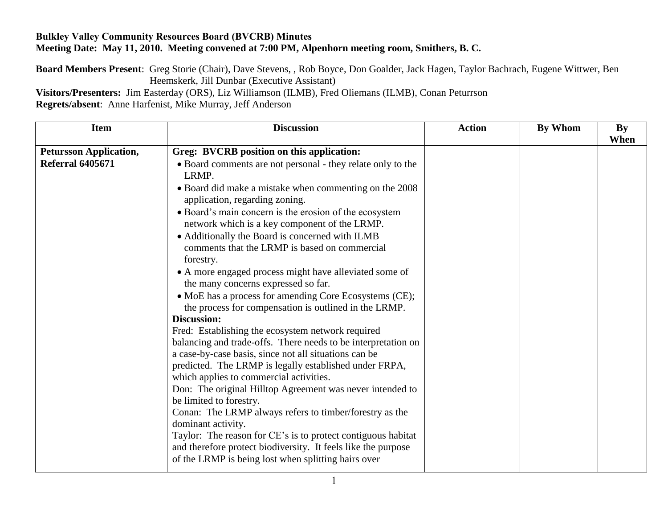## **Bulkley Valley Community Resources Board (BVCRB) Minutes Meeting Date: May 11, 2010. Meeting convened at 7:00 PM, Alpenhorn meeting room, Smithers, B. C.**

**Board Members Present**: Greg Storie (Chair), Dave Stevens, , Rob Boyce, Don Goalder, Jack Hagen, Taylor Bachrach, Eugene Wittwer, Ben Heemskerk, Jill Dunbar (Executive Assistant)

**Visitors/Presenters:** Jim Easterday (ORS), Liz Williamson (ILMB), Fred Oliemans (ILMB), Conan Peturrson **Regrets/absent**: Anne Harfenist, Mike Murray, Jeff Anderson

| <b>Item</b>                   | <b>Discussion</b>                                                                                                    | <b>Action</b> | <b>By Whom</b> | $\mathbf{By}$<br>When |
|-------------------------------|----------------------------------------------------------------------------------------------------------------------|---------------|----------------|-----------------------|
| <b>Petursson Application,</b> | Greg: BVCRB position on this application:                                                                            |               |                |                       |
| <b>Referral 6405671</b>       | • Board comments are not personal - they relate only to the<br>LRMP.                                                 |               |                |                       |
|                               | • Board did make a mistake when commenting on the 2008<br>application, regarding zoning.                             |               |                |                       |
|                               | • Board's main concern is the erosion of the ecosystem<br>network which is a key component of the LRMP.              |               |                |                       |
|                               | • Additionally the Board is concerned with ILMB<br>comments that the LRMP is based on commercial                     |               |                |                       |
|                               | forestry.                                                                                                            |               |                |                       |
|                               | • A more engaged process might have alleviated some of<br>the many concerns expressed so far.                        |               |                |                       |
|                               | • MoE has a process for amending Core Ecosystems (CE);<br>the process for compensation is outlined in the LRMP.      |               |                |                       |
|                               | <b>Discussion:</b>                                                                                                   |               |                |                       |
|                               | Fred: Establishing the ecosystem network required                                                                    |               |                |                       |
|                               | balancing and trade-offs. There needs to be interpretation on                                                        |               |                |                       |
|                               | a case-by-case basis, since not all situations can be                                                                |               |                |                       |
|                               | predicted. The LRMP is legally established under FRPA,                                                               |               |                |                       |
|                               | which applies to commercial activities.                                                                              |               |                |                       |
|                               | Don: The original Hilltop Agreement was never intended to                                                            |               |                |                       |
|                               | be limited to forestry.                                                                                              |               |                |                       |
|                               | Conan: The LRMP always refers to timber/forestry as the                                                              |               |                |                       |
|                               | dominant activity.                                                                                                   |               |                |                       |
|                               | Taylor: The reason for CE's is to protect contiguous habitat                                                         |               |                |                       |
|                               | and therefore protect biodiversity. It feels like the purpose<br>of the LRMP is being lost when splitting hairs over |               |                |                       |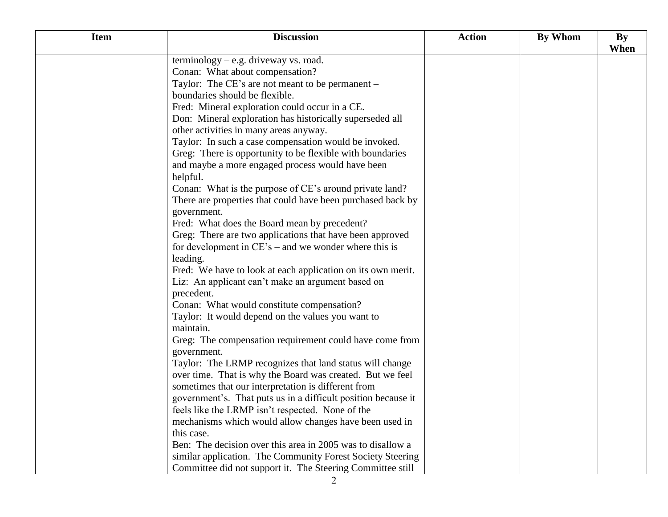| <b>Item</b> | <b>Discussion</b>                                             | <b>Action</b> | By Whom | $\mathbf{B}\mathbf{y}$ |
|-------------|---------------------------------------------------------------|---------------|---------|------------------------|
|             |                                                               |               |         | When                   |
|             | $terminology - e.g.$ driveway vs. road.                       |               |         |                        |
|             | Conan: What about compensation?                               |               |         |                        |
|             | Taylor: The CE's are not meant to be permanent -              |               |         |                        |
|             | boundaries should be flexible.                                |               |         |                        |
|             | Fred: Mineral exploration could occur in a CE.                |               |         |                        |
|             | Don: Mineral exploration has historically superseded all      |               |         |                        |
|             | other activities in many areas anyway.                        |               |         |                        |
|             | Taylor: In such a case compensation would be invoked.         |               |         |                        |
|             | Greg: There is opportunity to be flexible with boundaries     |               |         |                        |
|             | and maybe a more engaged process would have been<br>helpful.  |               |         |                        |
|             | Conan: What is the purpose of CE's around private land?       |               |         |                        |
|             | There are properties that could have been purchased back by   |               |         |                        |
|             | government.                                                   |               |         |                        |
|             | Fred: What does the Board mean by precedent?                  |               |         |                        |
|             | Greg: There are two applications that have been approved      |               |         |                        |
|             | for development in $CE$ 's – and we wonder where this is      |               |         |                        |
|             | leading.                                                      |               |         |                        |
|             | Fred: We have to look at each application on its own merit.   |               |         |                        |
|             | Liz: An applicant can't make an argument based on             |               |         |                        |
|             | precedent.                                                    |               |         |                        |
|             | Conan: What would constitute compensation?                    |               |         |                        |
|             | Taylor: It would depend on the values you want to             |               |         |                        |
|             | maintain.                                                     |               |         |                        |
|             | Greg: The compensation requirement could have come from       |               |         |                        |
|             | government.                                                   |               |         |                        |
|             | Taylor: The LRMP recognizes that land status will change      |               |         |                        |
|             | over time. That is why the Board was created. But we feel     |               |         |                        |
|             | sometimes that our interpretation is different from           |               |         |                        |
|             | government's. That puts us in a difficult position because it |               |         |                        |
|             | feels like the LRMP isn't respected. None of the              |               |         |                        |
|             | mechanisms which would allow changes have been used in        |               |         |                        |
|             | this case.                                                    |               |         |                        |
|             | Ben: The decision over this area in 2005 was to disallow a    |               |         |                        |
|             | similar application. The Community Forest Society Steering    |               |         |                        |
|             | Committee did not support it. The Steering Committee still    |               |         |                        |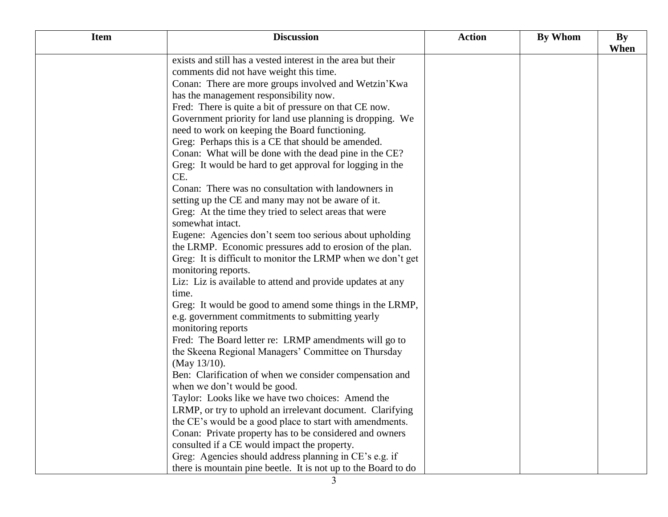| <b>Item</b> | <b>Discussion</b>                                              | <b>Action</b> | By Whom | By<br>When |
|-------------|----------------------------------------------------------------|---------------|---------|------------|
|             | exists and still has a vested interest in the area but their   |               |         |            |
|             | comments did not have weight this time.                        |               |         |            |
|             | Conan: There are more groups involved and Wetzin'Kwa           |               |         |            |
|             | has the management responsibility now.                         |               |         |            |
|             | Fred: There is quite a bit of pressure on that CE now.         |               |         |            |
|             | Government priority for land use planning is dropping. We      |               |         |            |
|             | need to work on keeping the Board functioning.                 |               |         |            |
|             | Greg: Perhaps this is a CE that should be amended.             |               |         |            |
|             | Conan: What will be done with the dead pine in the CE?         |               |         |            |
|             | Greg: It would be hard to get approval for logging in the      |               |         |            |
|             | CE.                                                            |               |         |            |
|             | Conan: There was no consultation with landowners in            |               |         |            |
|             | setting up the CE and many may not be aware of it.             |               |         |            |
|             | Greg: At the time they tried to select areas that were         |               |         |            |
|             | somewhat intact.                                               |               |         |            |
|             | Eugene: Agencies don't seem too serious about upholding        |               |         |            |
|             | the LRMP. Economic pressures add to erosion of the plan.       |               |         |            |
|             | Greg: It is difficult to monitor the LRMP when we don't get    |               |         |            |
|             | monitoring reports.                                            |               |         |            |
|             | Liz: Liz is available to attend and provide updates at any     |               |         |            |
|             | time.                                                          |               |         |            |
|             | Greg: It would be good to amend some things in the LRMP,       |               |         |            |
|             | e.g. government commitments to submitting yearly               |               |         |            |
|             | monitoring reports                                             |               |         |            |
|             | Fred: The Board letter re: LRMP amendments will go to          |               |         |            |
|             | the Skeena Regional Managers' Committee on Thursday            |               |         |            |
|             | (May $13/10$ ).                                                |               |         |            |
|             | Ben: Clarification of when we consider compensation and        |               |         |            |
|             | when we don't would be good.                                   |               |         |            |
|             | Taylor: Looks like we have two choices: Amend the              |               |         |            |
|             | LRMP, or try to uphold an irrelevant document. Clarifying      |               |         |            |
|             | the CE's would be a good place to start with amendments.       |               |         |            |
|             | Conan: Private property has to be considered and owners        |               |         |            |
|             | consulted if a CE would impact the property.                   |               |         |            |
|             | Greg: Agencies should address planning in CE's e.g. if         |               |         |            |
|             | there is mountain pine beetle. It is not up to the Board to do |               |         |            |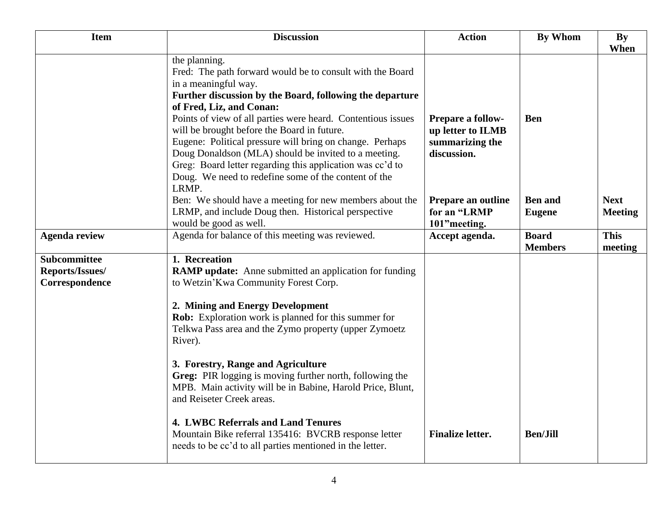| <b>Item</b>          | <b>Discussion</b>                                                                                                                                                                                                                                                                                                                                                                                                                                                                                                                                           | <b>Action</b>                                                            | <b>By Whom</b>                  | By<br>When                    |
|----------------------|-------------------------------------------------------------------------------------------------------------------------------------------------------------------------------------------------------------------------------------------------------------------------------------------------------------------------------------------------------------------------------------------------------------------------------------------------------------------------------------------------------------------------------------------------------------|--------------------------------------------------------------------------|---------------------------------|-------------------------------|
|                      | the planning.<br>Fred: The path forward would be to consult with the Board<br>in a meaningful way.<br>Further discussion by the Board, following the departure<br>of Fred, Liz, and Conan:<br>Points of view of all parties were heard. Contentious issues<br>will be brought before the Board in future.<br>Eugene: Political pressure will bring on change. Perhaps<br>Doug Donaldson (MLA) should be invited to a meeting.<br>Greg: Board letter regarding this application was cc'd to<br>Doug. We need to redefine some of the content of the<br>LRMP. | Prepare a follow-<br>up letter to ILMB<br>summarizing the<br>discussion. | <b>Ben</b>                      |                               |
|                      | Ben: We should have a meeting for new members about the<br>LRMP, and include Doug then. Historical perspective<br>would be good as well.                                                                                                                                                                                                                                                                                                                                                                                                                    | Prepare an outline<br>for an "LRMP<br>101"meeting.                       | <b>Ben</b> and<br><b>Eugene</b> | <b>Next</b><br><b>Meeting</b> |
| <b>Agenda review</b> | Agenda for balance of this meeting was reviewed.                                                                                                                                                                                                                                                                                                                                                                                                                                                                                                            | Accept agenda.                                                           | <b>Board</b><br><b>Members</b>  | <b>This</b><br>meeting        |
| <b>Subcommittee</b>  | 1. Recreation                                                                                                                                                                                                                                                                                                                                                                                                                                                                                                                                               |                                                                          |                                 |                               |
| Reports/Issues/      | <b>RAMP update:</b> Anne submitted an application for funding                                                                                                                                                                                                                                                                                                                                                                                                                                                                                               |                                                                          |                                 |                               |
| Correspondence       | to Wetzin'Kwa Community Forest Corp.                                                                                                                                                                                                                                                                                                                                                                                                                                                                                                                        |                                                                          |                                 |                               |
|                      | 2. Mining and Energy Development<br>Rob: Exploration work is planned for this summer for<br>Telkwa Pass area and the Zymo property (upper Zymoetz<br>River).                                                                                                                                                                                                                                                                                                                                                                                                |                                                                          |                                 |                               |
|                      | 3. Forestry, Range and Agriculture<br>Greg: PIR logging is moving further north, following the<br>MPB. Main activity will be in Babine, Harold Price, Blunt,<br>and Reiseter Creek areas.                                                                                                                                                                                                                                                                                                                                                                   |                                                                          |                                 |                               |
|                      | <b>4. LWBC Referrals and Land Tenures</b><br>Mountain Bike referral 135416: BVCRB response letter<br>needs to be cc'd to all parties mentioned in the letter.                                                                                                                                                                                                                                                                                                                                                                                               | <b>Finalize letter.</b>                                                  | <b>Ben/Jill</b>                 |                               |